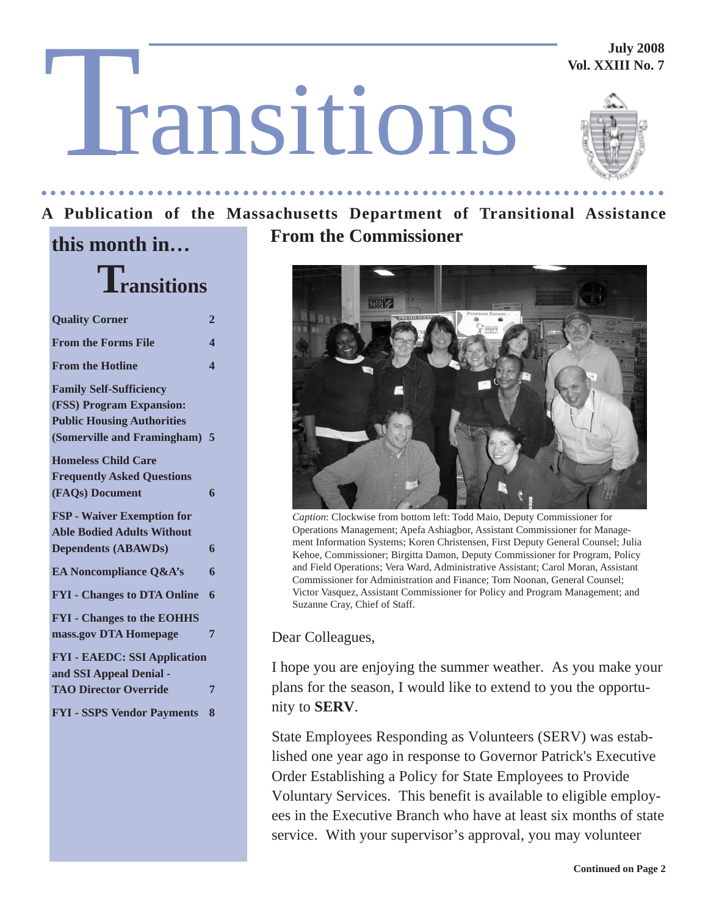**July 2008 Vol. XXIII No. 7**

# T ransitions

**Transitions**

**Quality Corner 2 From the Forms File 4 From the Hotline 4** 

**Family Self-Sufficiency (FSS) Program Expansion: Public Housing Authorities (Somerville and Framingham) 5**

**Homeless Child Care**

**Frequently Asked Questions (FAQs) Document 6**

**FSP - Waiver Exemption for Able Bodied Adults Without Dependents (ABAWDs) 6 EA Noncompliance Q&A's** 6

**FYI - Changes to DTA Online 6**

**FYI - Changes to the EOHHS mass.gov DTA Homepage 7**

**FYI - EAEDC: SSI Application**

**TAO Director Override 7**

**FYI - SSPS Vendor Payments 8**

**and SSI Appeal Denial -**



#### **A Publication of the Massachusetts Department of Transitional Assistance this month in… From the Commissioner**

○○○○○○○○○○○○○○○ ○○○○○○○○○○○○○○○○○○○○○○○○○○○○○○○○○○○○○○○○○○○○○○○○○○○



*Caption*: Clockwise from bottom left: Todd Maio, Deputy Commissioner for Operations Management; Apefa Ashiagbor, Assistant Commissioner for Management Information Systems; Koren Christensen, First Deputy General Counsel; Julia Kehoe, Commissioner; Birgitta Damon, Deputy Commissioner for Program, Policy and Field Operations; Vera Ward, Administrative Assistant; Carol Moran, Assistant Commissioner for Administration and Finance; Tom Noonan, General Counsel; Victor Vasquez, Assistant Commissioner for Policy and Program Management; and Suzanne Cray, Chief of Staff.

Dear Colleagues,

I hope you are enjoying the summer weather. As you make your plans for the season, I would like to extend to you the opportunity to **SERV**.

State Employees Responding as Volunteers (SERV) was established one year ago in response to Governor Patrick's Executive Order Establishing a Policy for State Employees to Provide Voluntary Services. This benefit is available to eligible employees in the Executive Branch who have at least six months of state service. With your supervisor's approval, you may volunteer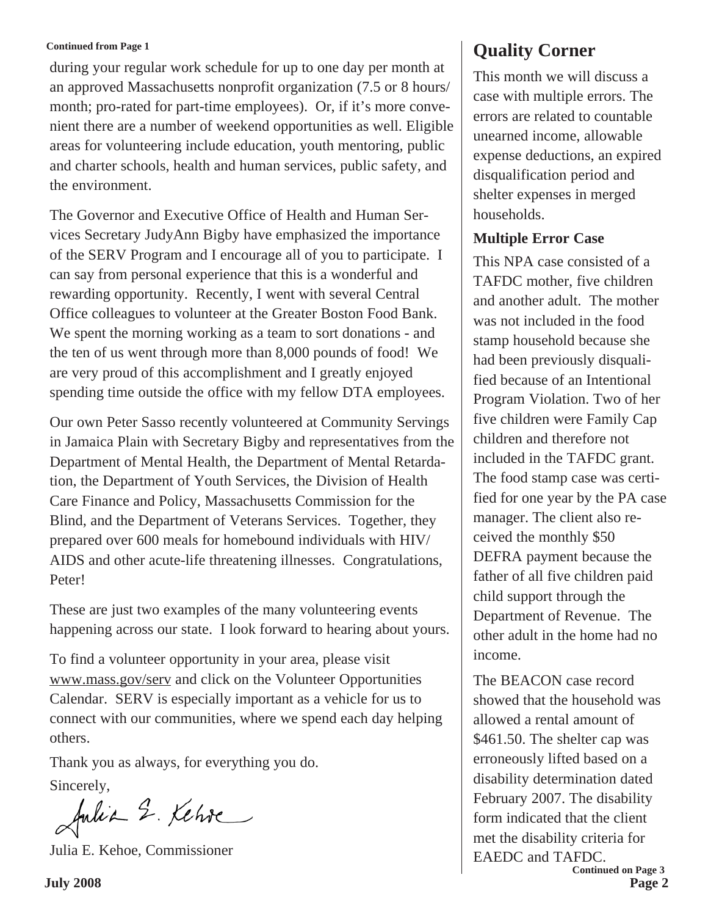#### **Continued from Page 1**

during your regular work schedule for up to one day per month at an approved Massachusetts nonprofit organization (7.5 or 8 hours/ month; pro-rated for part-time employees). Or, if it's more convenient there are a number of weekend opportunities as well. Eligible areas for volunteering include education, youth mentoring, public and charter schools, health and human services, public safety, and the environment.

The Governor and Executive Office of Health and Human Services Secretary JudyAnn Bigby have emphasized the importance of the SERV Program and I encourage all of you to participate. I can say from personal experience that this is a wonderful and rewarding opportunity. Recently, I went with several Central Office colleagues to volunteer at the Greater Boston Food Bank. We spent the morning working as a team to sort donations - and the ten of us went through more than 8,000 pounds of food! We are very proud of this accomplishment and I greatly enjoyed spending time outside the office with my fellow DTA employees.

Our own Peter Sasso recently volunteered at Community Servings in Jamaica Plain with Secretary Bigby and representatives from the Department of Mental Health, the Department of Mental Retardation, the Department of Youth Services, the Division of Health Care Finance and Policy, Massachusetts Commission for the Blind, and the Department of Veterans Services. Together, they prepared over 600 meals for homebound individuals with HIV/ AIDS and other acute-life threatening illnesses. Congratulations, Peter!

These are just two examples of the many volunteering events happening across our state. I look forward to hearing about yours.

To find a volunteer opportunity in your area, please visit www.mass.gov/serv and click on the Volunteer Opportunities Calendar. SERV is especially important as a vehicle for us to connect with our communities, where we spend each day helping others.

Thank you as always, for everything you do.

Sincerely,

Julia 2. Kehre

Julia E. Kehoe, Commissioner

## **Quality Corner**

This month we will discuss a case with multiple errors. The errors are related to countable unearned income, allowable expense deductions, an expired disqualification period and shelter expenses in merged households.

#### **Multiple Error Case**

This NPA case consisted of a TAFDC mother, five children and another adult. The mother was not included in the food stamp household because she had been previously disqualified because of an Intentional Program Violation. Two of her five children were Family Cap children and therefore not included in the TAFDC grant. The food stamp case was certified for one year by the PA case manager. The client also received the monthly \$50 DEFRA payment because the father of all five children paid child support through the Department of Revenue. The other adult in the home had no income.

**July 2008 Page 2 Continued on Page 3** The BEACON case record showed that the household was allowed a rental amount of \$461.50. The shelter cap was erroneously lifted based on a disability determination dated February 2007. The disability form indicated that the client met the disability criteria for EAEDC and TAFDC.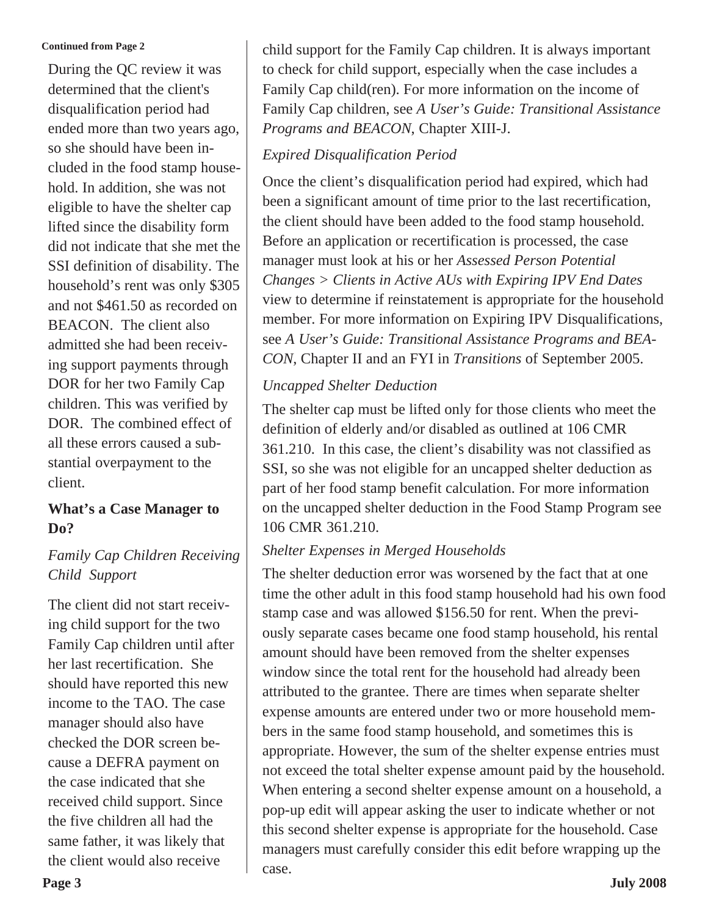#### **Continued from Page 2**

During the QC review it was determined that the client's disqualification period had ended more than two years ago, so she should have been included in the food stamp household. In addition, she was not eligible to have the shelter cap lifted since the disability form did not indicate that she met the SSI definition of disability. The household's rent was only \$305 and not \$461.50 as recorded on BEACON. The client also admitted she had been receiving support payments through DOR for her two Family Cap children. This was verified by DOR. The combined effect of all these errors caused a substantial overpayment to the client.

#### **What's a Case Manager to Do?**

#### *Family Cap Children Receiving Child Support*

The client did not start receiving child support for the two Family Cap children until after her last recertification. She should have reported this new income to the TAO. The case manager should also have checked the DOR screen because a DEFRA payment on the case indicated that she received child support. Since the five children all had the same father, it was likely that the client would also receive

child support for the Family Cap children. It is always important to check for child support, especially when the case includes a Family Cap child(ren). For more information on the income of Family Cap children, see *A User's Guide: Transitional Assistance Programs and BEACON*, Chapter XIII-J.

#### *Expired Disqualification Period*

Once the client's disqualification period had expired, which had been a significant amount of time prior to the last recertification, the client should have been added to the food stamp household. Before an application or recertification is processed, the case manager must look at his or her *Assessed Person Potential Changes > Clients in Active AUs with Expiring IPV End Dates* view to determine if reinstatement is appropriate for the household member. For more information on Expiring IPV Disqualifications, see *A User's Guide: Transitional Assistance Programs and BEA-CON*, Chapter II and an FYI in *Transitions* of September 2005.

#### *Uncapped Shelter Deduction*

The shelter cap must be lifted only for those clients who meet the definition of elderly and/or disabled as outlined at 106 CMR 361.210. In this case, the client's disability was not classified as SSI, so she was not eligible for an uncapped shelter deduction as part of her food stamp benefit calculation. For more information on the uncapped shelter deduction in the Food Stamp Program see 106 CMR 361.210.

### *Shelter Expenses in Merged Households*

The shelter deduction error was worsened by the fact that at one time the other adult in this food stamp household had his own food stamp case and was allowed \$156.50 for rent. When the previously separate cases became one food stamp household, his rental amount should have been removed from the shelter expenses window since the total rent for the household had already been attributed to the grantee. There are times when separate shelter expense amounts are entered under two or more household members in the same food stamp household, and sometimes this is appropriate. However, the sum of the shelter expense entries must not exceed the total shelter expense amount paid by the household. When entering a second shelter expense amount on a household, a pop-up edit will appear asking the user to indicate whether or not this second shelter expense is appropriate for the household. Case managers must carefully consider this edit before wrapping up the case.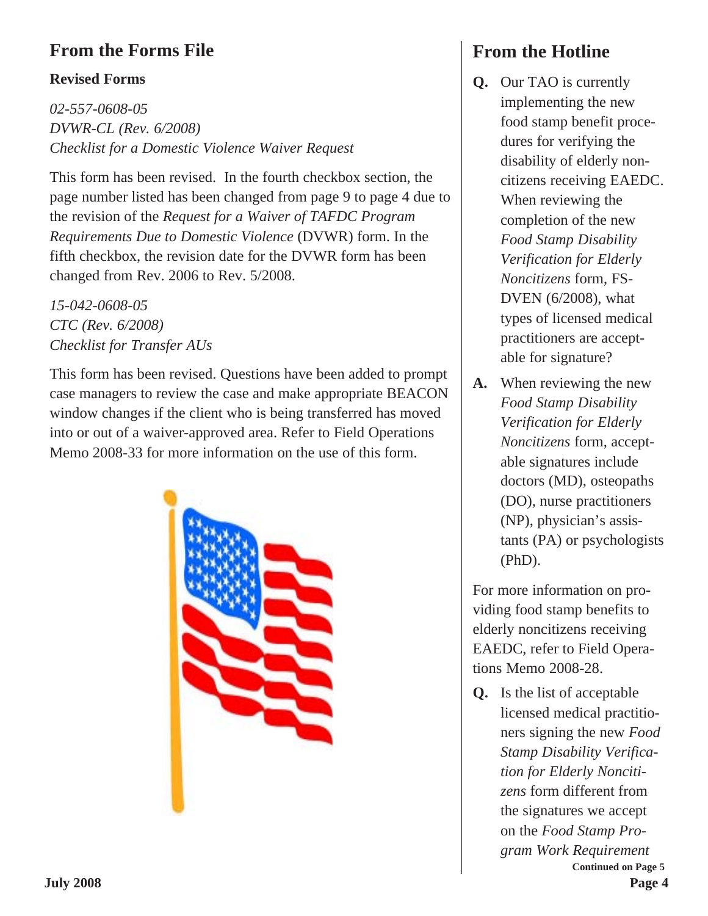## **From the Forms File**

#### **Revised Forms**

*02-557-0608-05 DVWR-CL (Rev. 6/2008) Checklist for a Domestic Violence Waiver Request*

This form has been revised. In the fourth checkbox section, the page number listed has been changed from page 9 to page 4 due to the revision of the *Request for a Waiver of TAFDC Program Requirements Due to Domestic Violence* (DVWR) form. In the fifth checkbox, the revision date for the DVWR form has been changed from Rev. 2006 to Rev. 5/2008.

*15-042-0608-05 CTC (Rev. 6/2008) Checklist for Transfer AUs*

This form has been revised. Questions have been added to prompt case managers to review the case and make appropriate BEACON window changes if the client who is being transferred has moved into or out of a waiver-approved area. Refer to Field Operations Memo 2008-33 for more information on the use of this form.



# **From the Hotline**

- **Q.** Our TAO is currently implementing the new food stamp benefit procedures for verifying the disability of elderly noncitizens receiving EAEDC. When reviewing the completion of the new *Food Stamp Disability Verification for Elderly Noncitizens* form, FS-DVEN (6/2008), what types of licensed medical practitioners are acceptable for signature?
- **A.** When reviewing the new *Food Stamp Disability Verification for Elderly Noncitizens* form, acceptable signatures include doctors (MD), osteopaths (DO), nurse practitioners (NP), physician's assistants (PA) or psychologists (PhD).

For more information on providing food stamp benefits to elderly noncitizens receiving EAEDC, refer to Field Operations Memo 2008-28.

**Q.** Is the list of acceptable licensed medical practitioners signing the new *Food Stamp Disability Verification for Elderly Noncitizens* form different from the signatures we accept on the *Food Stamp Program Work Requirement* **Continued on Page 5**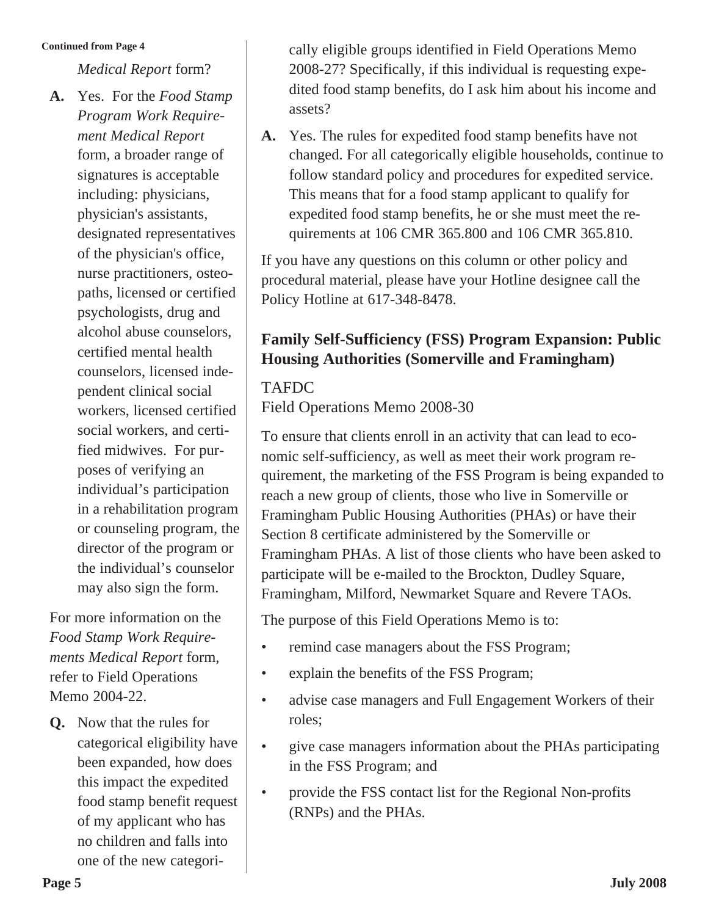#### **Continued from Page 4**

*Medical Report* form?

**A.** Yes. For the *Food Stamp Program Work Requirement Medical Report* form, a broader range of signatures is acceptable including: physicians, physician's assistants, designated representatives of the physician's office, nurse practitioners, osteopaths, licensed or certified psychologists, drug and alcohol abuse counselors, certified mental health counselors, licensed independent clinical social workers, licensed certified social workers, and certified midwives. For purposes of verifying an individual's participation in a rehabilitation program or counseling program, the director of the program or the individual's counselor may also sign the form.

For more information on the *Food Stamp Work Requirements Medical Report* form, refer to Field Operations Memo 2004-22.

**Q.** Now that the rules for categorical eligibility have been expanded, how does this impact the expedited food stamp benefit request of my applicant who has no children and falls into one of the new categorically eligible groups identified in Field Operations Memo 2008-27? Specifically, if this individual is requesting expedited food stamp benefits, do I ask him about his income and assets?

**A.** Yes. The rules for expedited food stamp benefits have not changed. For all categorically eligible households, continue to follow standard policy and procedures for expedited service. This means that for a food stamp applicant to qualify for expedited food stamp benefits, he or she must meet the requirements at 106 CMR 365.800 and 106 CMR 365.810.

If you have any questions on this column or other policy and procedural material, please have your Hotline designee call the Policy Hotline at 617-348-8478.

## **Family Self-Sufficiency (FSS) Program Expansion: Public Housing Authorities (Somerville and Framingham)**

#### TAFDC

Field Operations Memo 2008-30

To ensure that clients enroll in an activity that can lead to economic self-sufficiency, as well as meet their work program requirement, the marketing of the FSS Program is being expanded to reach a new group of clients, those who live in Somerville or Framingham Public Housing Authorities (PHAs) or have their Section 8 certificate administered by the Somerville or Framingham PHAs. A list of those clients who have been asked to participate will be e-mailed to the Brockton, Dudley Square, Framingham, Milford, Newmarket Square and Revere TAOs.

The purpose of this Field Operations Memo is to:

- remind case managers about the FSS Program;
- explain the benefits of the FSS Program;
- advise case managers and Full Engagement Workers of their roles;
- give case managers information about the PHAs participating in the FSS Program; and
- provide the FSS contact list for the Regional Non-profits (RNPs) and the PHAs.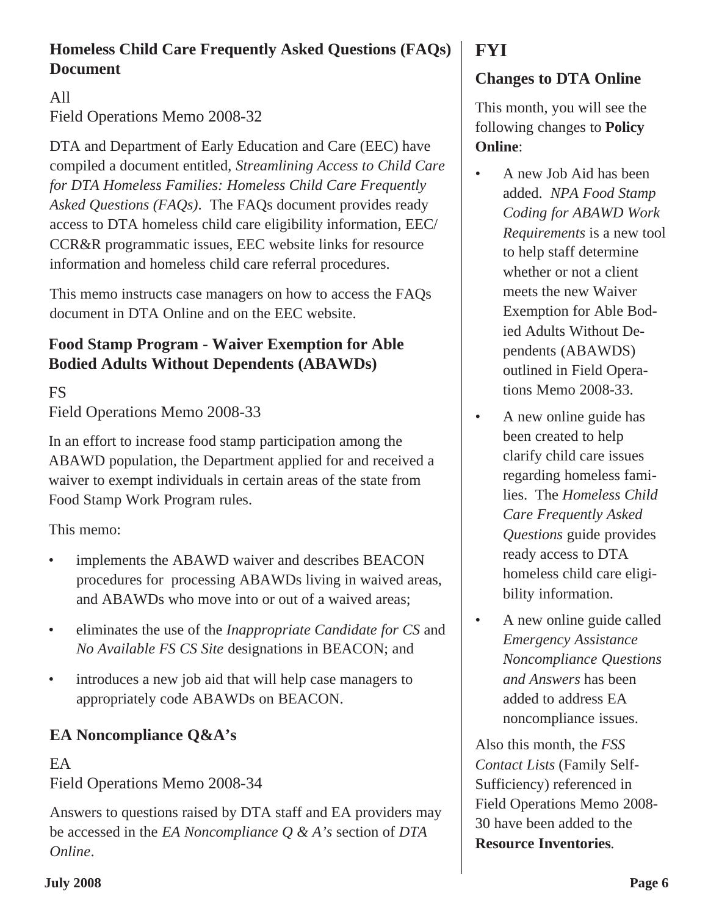## **Homeless Child Care Frequently Asked Questions (FAQs) Document**

## All Field Operations Memo 2008-32

DTA and Department of Early Education and Care (EEC) have compiled a document entitled, *Streamlining Access to Child Care for DTA Homeless Families: Homeless Child Care Frequently Asked Questions (FAQs)*. The FAQs document provides ready access to DTA homeless child care eligibility information, EEC/ CCR&R programmatic issues, EEC website links for resource information and homeless child care referral procedures.

This memo instructs case managers on how to access the FAQs document in DTA Online and on the EEC website.

## **Food Stamp Program - Waiver Exemption for Able Bodied Adults Without Dependents (ABAWDs)**

FS

Field Operations Memo 2008-33

In an effort to increase food stamp participation among the ABAWD population, the Department applied for and received a waiver to exempt individuals in certain areas of the state from Food Stamp Work Program rules.

This memo:

- implements the ABAWD waiver and describes BEACON procedures for processing ABAWDs living in waived areas, and ABAWDs who move into or out of a waived areas;
- eliminates the use of the *Inappropriate Candidate for CS* and *No Available FS CS Site* designations in BEACON; and
- introduces a new job aid that will help case managers to appropriately code ABAWDs on BEACON.

## **EA Noncompliance Q&A's**

### EA Field Operations Memo 2008-34

Answers to questions raised by DTA staff and EA providers may be accessed in the *EA Noncompliance Q & A's* section of *DTA Online*.

## **FYI**

## **Changes to DTA Online**

This month, you will see the following changes to **Policy Online**:

- A new Job Aid has been added. *NPA Food Stamp Coding for ABAWD Work Requirements* is a new tool to help staff determine whether or not a client meets the new Waiver Exemption for Able Bodied Adults Without Dependents (ABAWDS) outlined in Field Operations Memo 2008-33.
- A new online guide has been created to help clarify child care issues regarding homeless families. The *Homeless Child Care Frequently Asked Questions* guide provides ready access to DTA homeless child care eligibility information.
- A new online guide called *Emergency Assistance Noncompliance Questions and Answers* has been added to address EA noncompliance issues.

Also this month, the *FSS Contact Lists* (Family Self-Sufficiency) referenced in Field Operations Memo 2008- 30 have been added to the **Resource Inventories**.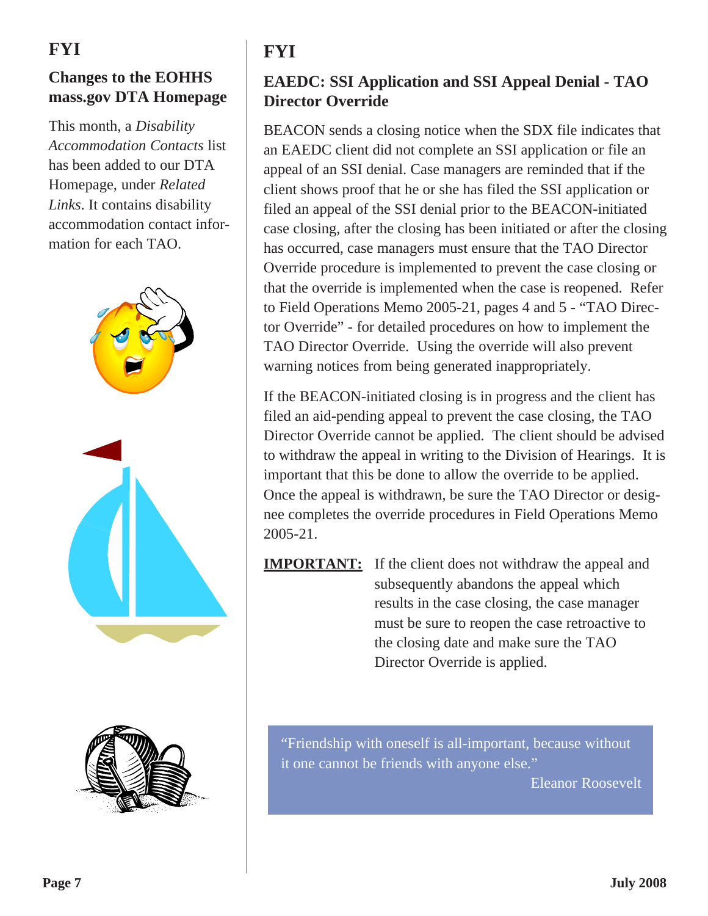# **FYI**

## **Changes to the EOHHS mass.gov DTA Homepage**

This month, a *Disability Accommodation Contacts* list has been added to our DTA Homepage, under *Related Links*. It contains disability accommodation contact information for each TAO.





# **FYI**

## **EAEDC: SSI Application and SSI Appeal Denial - TAO Director Override**

BEACON sends a closing notice when the SDX file indicates that an EAEDC client did not complete an SSI application or file an appeal of an SSI denial. Case managers are reminded that if the client shows proof that he or she has filed the SSI application or filed an appeal of the SSI denial prior to the BEACON-initiated case closing, after the closing has been initiated or after the closing has occurred, case managers must ensure that the TAO Director Override procedure is implemented to prevent the case closing or that the override is implemented when the case is reopened. Refer to Field Operations Memo 2005-21, pages 4 and 5 - "TAO Director Override" - for detailed procedures on how to implement the TAO Director Override. Using the override will also prevent warning notices from being generated inappropriately.

If the BEACON-initiated closing is in progress and the client has filed an aid-pending appeal to prevent the case closing, the TAO Director Override cannot be applied. The client should be advised to withdraw the appeal in writing to the Division of Hearings. It is important that this be done to allow the override to be applied. Once the appeal is withdrawn, be sure the TAO Director or designee completes the override procedures in Field Operations Memo 2005-21.

**IMPORTANT:** If the client does not withdraw the appeal and subsequently abandons the appeal which results in the case closing, the case manager must be sure to reopen the case retroactive to the closing date and make sure the TAO Director Override is applied.

"Friendship with oneself is all-important, because without it one cannot be friends with anyone else."

Eleanor Roosevelt